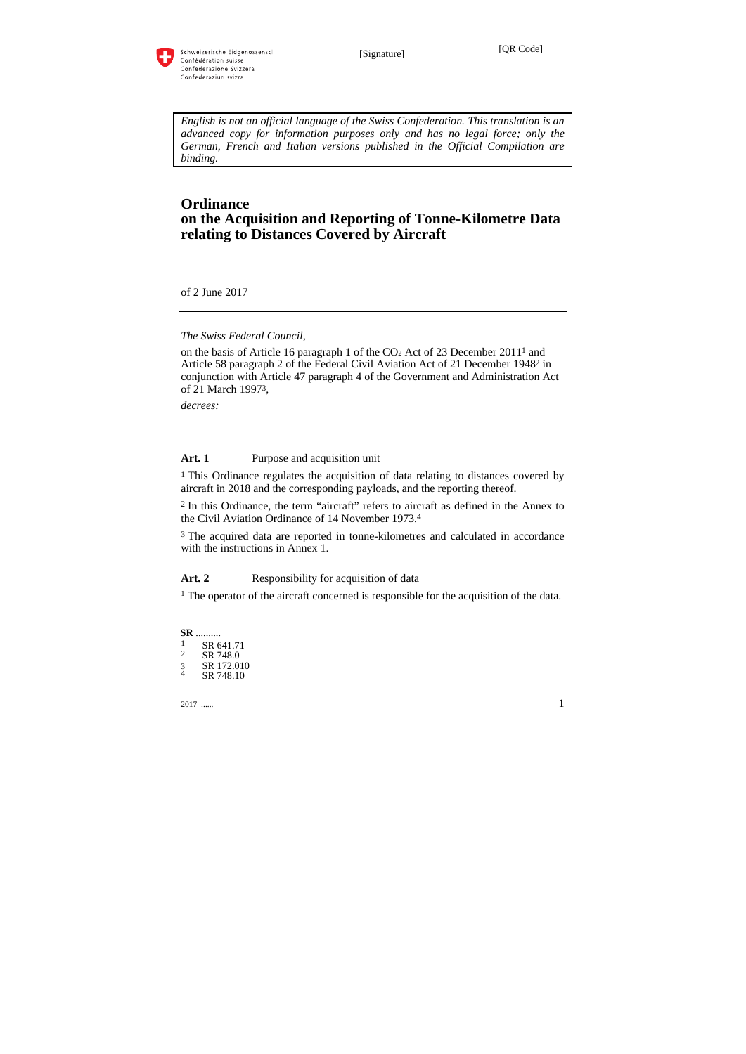

*English is not an official language of the Swiss Confederation. This translation is an advanced copy for information purposes only and has no legal force; only the German, French and Italian versions published in the Official Compilation are binding.* 

# **Ordinance on the Acquisition and Reporting of Tonne-Kilometre Data relating to Distances Covered by Aircraft**

of 2 June 2017

*The Swiss Federal Council,* 

on the basis of Article 16 paragraph 1 of the CO2 Act of 23 December 20111 and Article 58 paragraph 2 of the Federal Civil Aviation Act of 21 December 19482 in conjunction with Article 47 paragraph 4 of the Government and Administration Act of 21 March 19973,

*decrees:* 

# Art. 1 Purpose and acquisition unit

<sup>1</sup> This Ordinance regulates the acquisition of data relating to distances covered by aircraft in 2018 and the corresponding payloads, and the reporting thereof.

2 In this Ordinance, the term "aircraft" refers to aircraft as defined in the Annex to the Civil Aviation Ordinance of 14 November 1973.4

3 The acquired data are reported in tonne-kilometres and calculated in accordance with the instructions in Annex 1.

#### Art. 2 Responsibility for acquisition of data

<sup>1</sup> The operator of the aircraft concerned is responsible for the acquisition of the data.

**SR** ..........  $\frac{1}{2}$  SR 641.71 SR 748.0 3 SR 172.010<br>4 SR 748 10 SR 748.10

2017–...... 1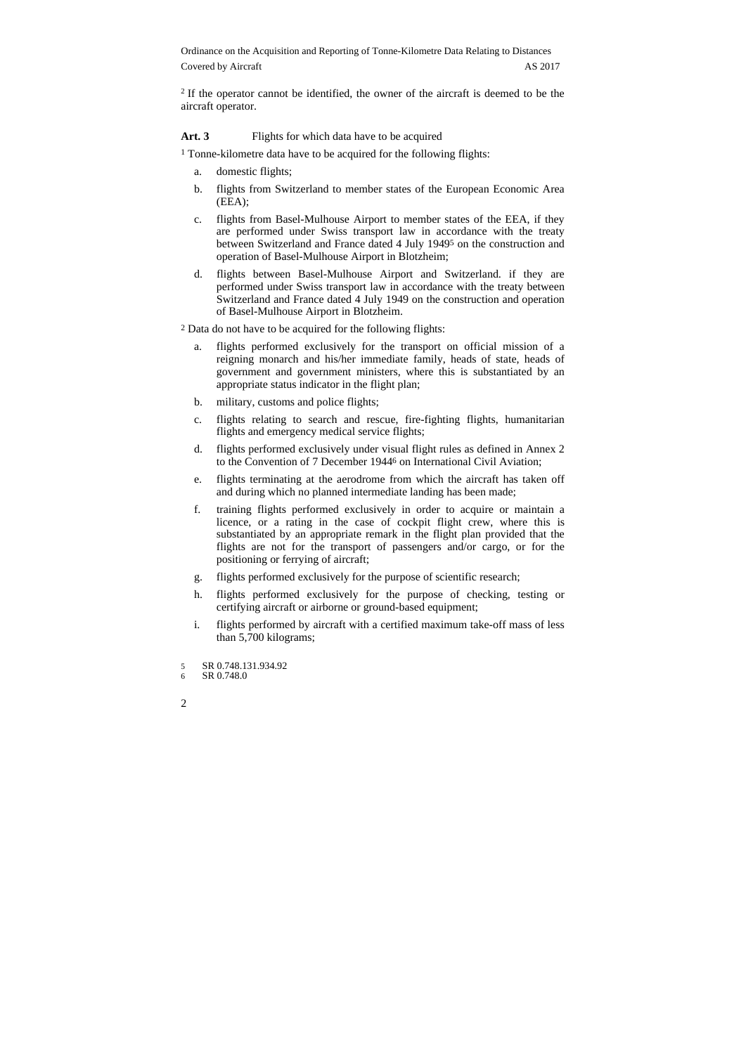<sup>2</sup> If the operator cannot be identified, the owner of the aircraft is deemed to be the aircraft operator.

#### Art. 3 Flights for which data have to be acquired

- 1 Tonne-kilometre data have to be acquired for the following flights:
	- a. domestic flights;
	- b. flights from Switzerland to member states of the European Economic Area (EEA);
	- c. flights from Basel-Mulhouse Airport to member states of the EEA, if they are performed under Swiss transport law in accordance with the treaty between Switzerland and France dated 4 July 19495 on the construction and operation of Basel-Mulhouse Airport in Blotzheim;
	- d. flights between Basel-Mulhouse Airport and Switzerland. if they are performed under Swiss transport law in accordance with the treaty between Switzerland and France dated 4 July 1949 on the construction and operation of Basel-Mulhouse Airport in Blotzheim.
- 2 Data do not have to be acquired for the following flights:
	- a. flights performed exclusively for the transport on official mission of a reigning monarch and his/her immediate family, heads of state, heads of government and government ministers, where this is substantiated by an appropriate status indicator in the flight plan;
	- b. military, customs and police flights;
	- c. flights relating to search and rescue, fire-fighting flights, humanitarian flights and emergency medical service flights;
	- d. flights performed exclusively under visual flight rules as defined in Annex 2 to the Convention of 7 December 19446 on International Civil Aviation;
	- e. flights terminating at the aerodrome from which the aircraft has taken off and during which no planned intermediate landing has been made;
	- f. training flights performed exclusively in order to acquire or maintain a licence, or a rating in the case of cockpit flight crew, where this is substantiated by an appropriate remark in the flight plan provided that the flights are not for the transport of passengers and/or cargo, or for the positioning or ferrying of aircraft;
	- g. flights performed exclusively for the purpose of scientific research;
	- h. flights performed exclusively for the purpose of checking, testing or certifying aircraft or airborne or ground-based equipment;
	- i. flights performed by aircraft with a certified maximum take-off mass of less than 5,700 kilograms;

<sup>5</sup> SR 0.748.131.934.92 6 SR 0.748.0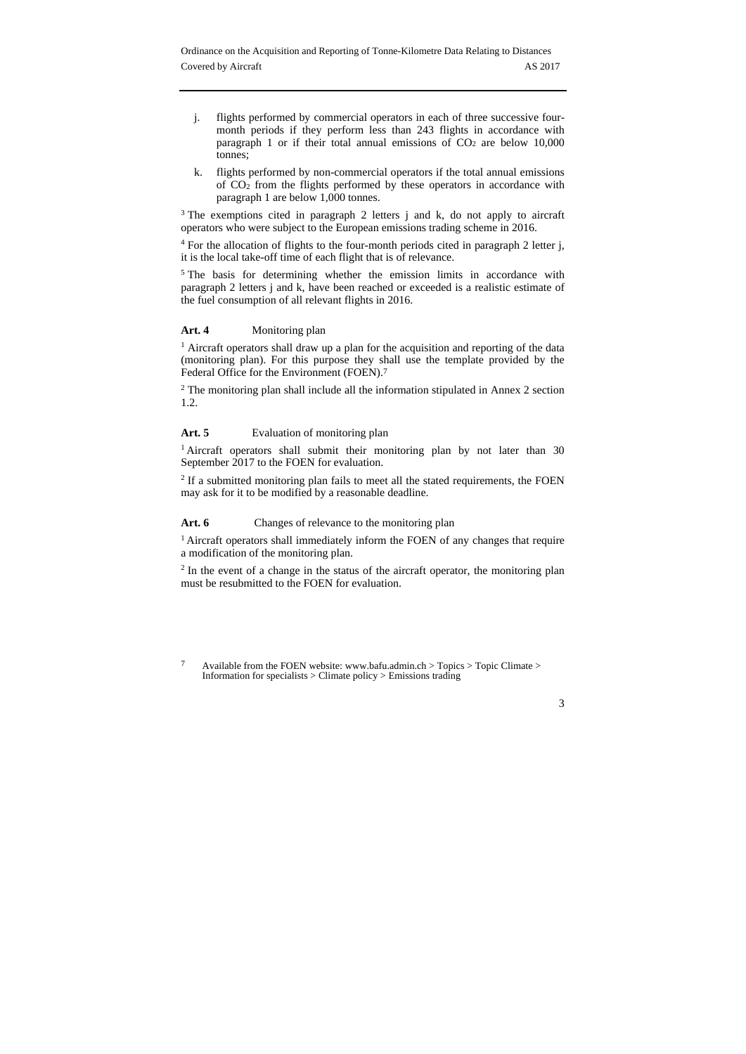- j. flights performed by commercial operators in each of three successive fourmonth periods if they perform less than 243 flights in accordance with paragraph 1 or if their total annual emissions of  $CO<sub>2</sub>$  are below 10,000 tonnes;
- k. flights performed by non-commercial operators if the total annual emissions of CO2 from the flights performed by these operators in accordance with paragraph 1 are below 1,000 tonnes.

<sup>3</sup> The exemptions cited in paragraph 2 letters j and k, do not apply to aircraft operators who were subject to the European emissions trading scheme in 2016.

<sup>4</sup> For the allocation of flights to the four-month periods cited in paragraph 2 letter j, it is the local take-off time of each flight that is of relevance.

<sup>5</sup> The basis for determining whether the emission limits in accordance with paragraph 2 letters j and k, have been reached or exceeded is a realistic estimate of the fuel consumption of all relevant flights in 2016.

### Art. 4 **Monitoring plan**

<sup>1</sup> Aircraft operators shall draw up a plan for the acquisition and reporting of the data (monitoring plan). For this purpose they shall use the template provided by the Federal Office for the Environment (FOEN).7

2 The monitoring plan shall include all the information stipulated in Annex 2 section 1.2.

### Art. 5 **Evaluation of monitoring plan**

<sup>1</sup> Aircraft operators shall submit their monitoring plan by not later than 30 September 2017 to the FOEN for evaluation.

<sup>2</sup> If a submitted monitoring plan fails to meet all the stated requirements, the FOEN may ask for it to be modified by a reasonable deadline.

#### Art. 6 Changes of relevance to the monitoring plan

<sup>1</sup> Aircraft operators shall immediately inform the FOEN of any changes that require a modification of the monitoring plan.

<sup>2</sup> In the event of a change in the status of the aircraft operator, the monitoring plan must be resubmitted to the FOEN for evaluation.

 $\overline{7}$ 7 Available from the FOEN website: www.bafu.admin.ch > Topics > Topic Climate > Information for specialists > Climate policy > Emissions trading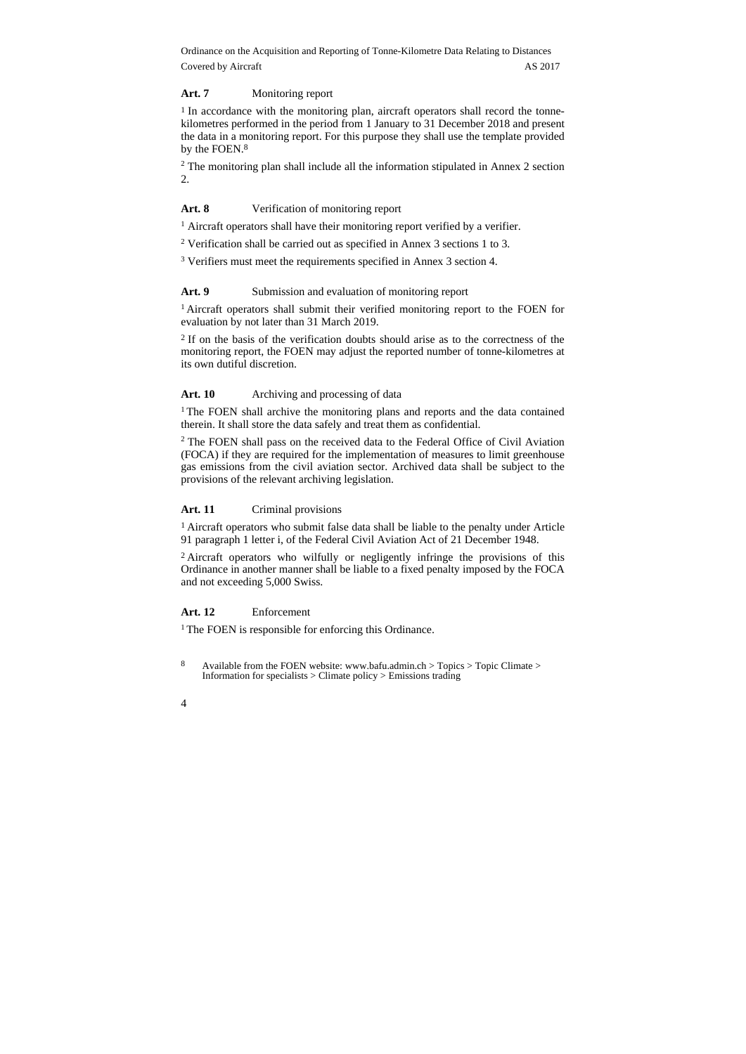#### **Art. 7** Monitoring report

<sup>1</sup> In accordance with the monitoring plan, aircraft operators shall record the tonnekilometres performed in the period from 1 January to 31 December 2018 and present the data in a monitoring report. For this purpose they shall use the template provided by the FOEN.8

2 The monitoring plan shall include all the information stipulated in Annex 2 section 2.

#### Art. 8 Verification of monitoring report

<sup>1</sup> Aircraft operators shall have their monitoring report verified by a verifier.

2 Verification shall be carried out as specified in Annex 3 sections 1 to 3.

3 Verifiers must meet the requirements specified in Annex 3 section 4.

Art. 9 Submission and evaluation of monitoring report

<sup>1</sup> Aircraft operators shall submit their verified monitoring report to the FOEN for evaluation by not later than 31 March 2019.

2 If on the basis of the verification doubts should arise as to the correctness of the monitoring report, the FOEN may adjust the reported number of tonne-kilometres at its own dutiful discretion.

## Art. 10 • **Archiving and processing of data**

<sup>1</sup> The FOEN shall archive the monitoring plans and reports and the data contained therein. It shall store the data safely and treat them as confidential.

<sup>2</sup> The FOEN shall pass on the received data to the Federal Office of Civil Aviation (FOCA) if they are required for the implementation of measures to limit greenhouse gas emissions from the civil aviation sector. Archived data shall be subject to the provisions of the relevant archiving legislation.

#### Art. 11 **Criminal provisions**

1 Aircraft operators who submit false data shall be liable to the penalty under Article 91 paragraph 1 letter i, of the Federal Civil Aviation Act of 21 December 1948.

2 Aircraft operators who wilfully or negligently infringe the provisions of this Ordinance in another manner shall be liable to a fixed penalty imposed by the FOCA and not exceeding 5,000 Swiss.

### **Art. 12** Enforcement

<sup>1</sup> The FOEN is responsible for enforcing this Ordinance.

8 8 Available from the FOEN website: www.bafu.admin.ch > Topics > Topic Climate > Information for specialists > Climate policy > Emissions trading

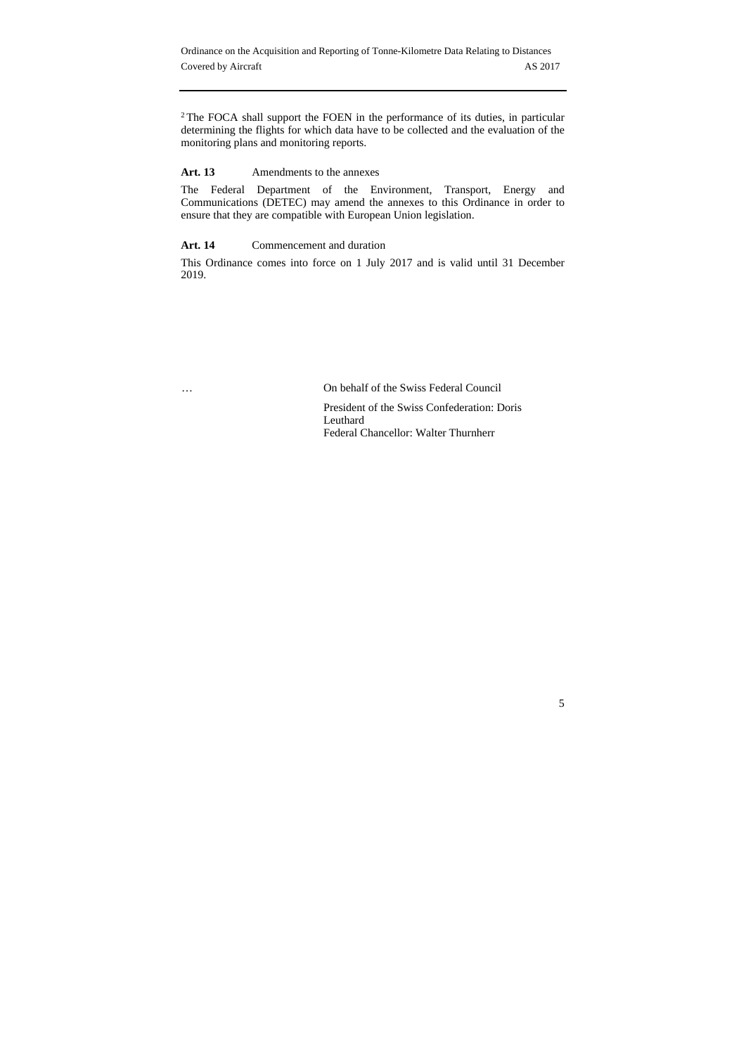<sup>2</sup>The FOCA shall support the FOEN in the performance of its duties, in particular determining the flights for which data have to be collected and the evaluation of the monitoring plans and monitoring reports.

Art. 13 Amendments to the annexes

The Federal Department of the Environment, Transport, Energy and Communications (DETEC) may amend the annexes to this Ordinance in order to ensure that they are compatible with European Union legislation.

Art. 14 Commencement and duration

This Ordinance comes into force on 1 July 2017 and is valid until 31 December 2019.

… On behalf of the Swiss Federal Council

President of the Swiss Confederation: Doris Leuthard Federal Chancellor: Walter Thurnherr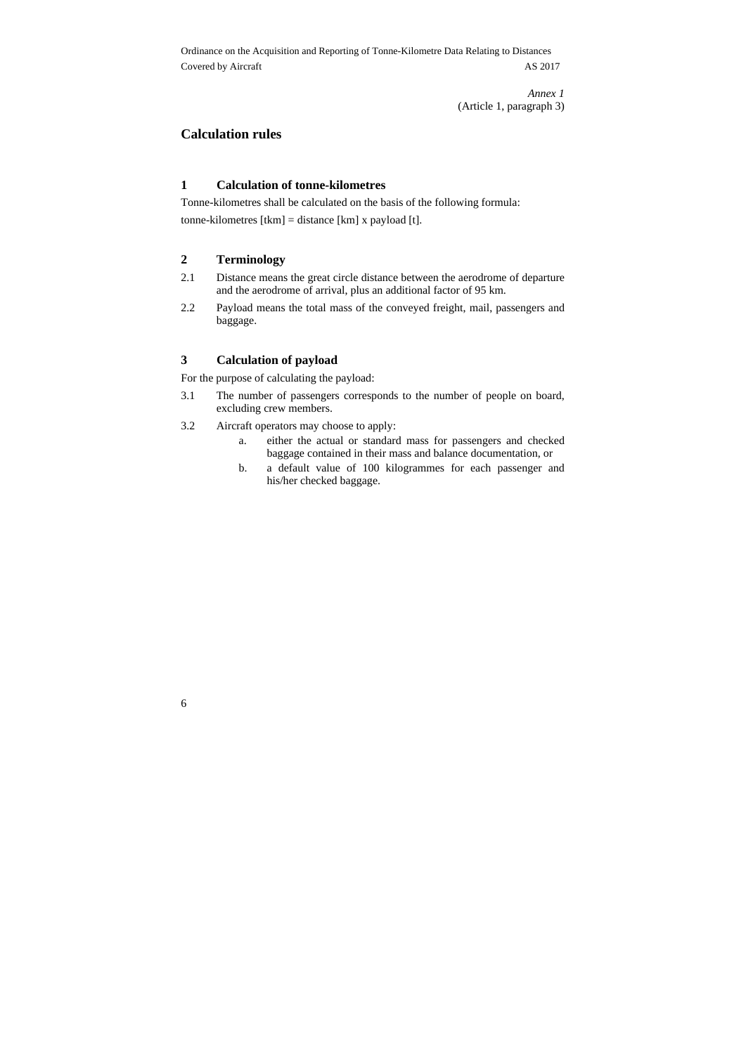> *Annex 1*  (Article 1, paragraph 3)

## **Calculation rules**

# **1 Calculation of tonne-kilometres**

Tonne-kilometres shall be calculated on the basis of the following formula: tonne-kilometres [tkm] = distance [km] x payload [t].

## **2 Terminology**

6

- 2.1 Distance means the great circle distance between the aerodrome of departure and the aerodrome of arrival, plus an additional factor of 95 km.
- 2.2 Payload means the total mass of the conveyed freight, mail, passengers and baggage.

### **3 Calculation of payload**

For the purpose of calculating the payload:

- 3.1 The number of passengers corresponds to the number of people on board, excluding crew members.
- 3.2 Aircraft operators may choose to apply:
	- a. either the actual or standard mass for passengers and checked baggage contained in their mass and balance documentation, or
	- b. a default value of 100 kilogrammes for each passenger and his/her checked baggage.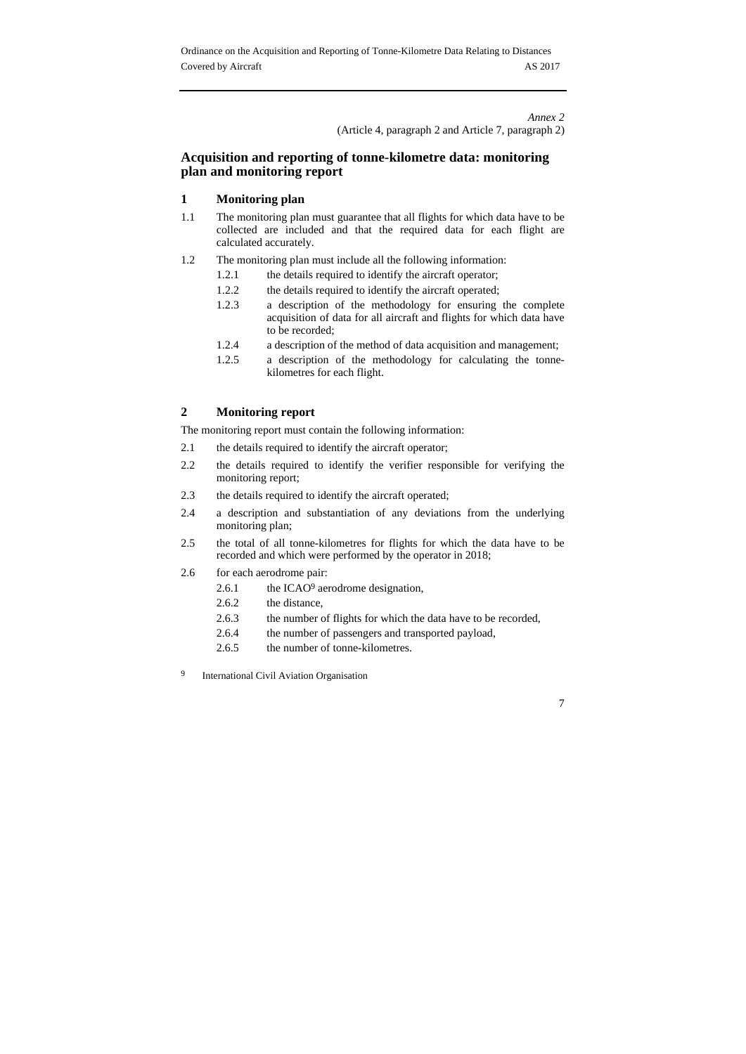*Annex 2*  (Article 4, paragraph 2 and Article 7, paragraph 2)

# **Acquisition and reporting of tonne-kilometre data: monitoring plan and monitoring report**

# **1 Monitoring plan**

- 1.1 The monitoring plan must guarantee that all flights for which data have to be collected are included and that the required data for each flight are calculated accurately.
- 1.2 The monitoring plan must include all the following information:
	- 1.2.1 the details required to identify the aircraft operator;
	- 1.2.2 the details required to identify the aircraft operated;
	- 1.2.3 a description of the methodology for ensuring the complete acquisition of data for all aircraft and flights for which data have to be recorded;
	- 1.2.4 a description of the method of data acquisition and management;
	- 1.2.5 a description of the methodology for calculating the tonnekilometres for each flight.

# **2 Monitoring report**

The monitoring report must contain the following information:

- 2.1 the details required to identify the aircraft operator;
- 2.2 the details required to identify the verifier responsible for verifying the monitoring report;
- 2.3 the details required to identify the aircraft operated;
- 2.4 a description and substantiation of any deviations from the underlying monitoring plan;
- 2.5 the total of all tonne-kilometres for flights for which the data have to be recorded and which were performed by the operator in 2018;
- 2.6 for each aerodrome pair:
	- 2.6.1 the ICAO9 aerodrome designation,
	- 2.6.2 the distance,
	- 2.6.3 the number of flights for which the data have to be recorded,

- 2.6.4 the number of passengers and transported payload,
- 2.6.5 the number of tonne-kilometres.
- 9 International Civil Aviation Organisation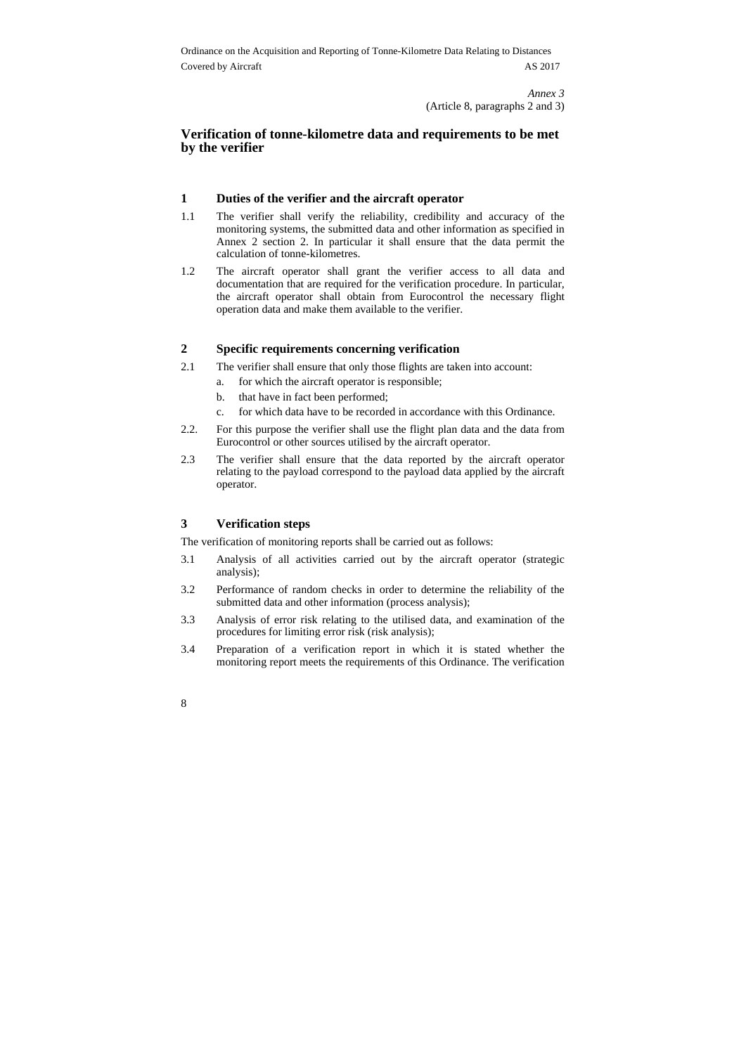> *Annex 3*  (Article 8, paragraphs 2 and 3)

## **Verification of tonne-kilometre data and requirements to be met by the verifier**

# **1 Duties of the verifier and the aircraft operator**

- 1.1 The verifier shall verify the reliability, credibility and accuracy of the monitoring systems, the submitted data and other information as specified in Annex 2 section 2. In particular it shall ensure that the data permit the calculation of tonne-kilometres.
- 1.2 The aircraft operator shall grant the verifier access to all data and documentation that are required for the verification procedure. In particular, the aircraft operator shall obtain from Eurocontrol the necessary flight operation data and make them available to the verifier.

### **2 Specific requirements concerning verification**

- 2.1 The verifier shall ensure that only those flights are taken into account:
	- a. for which the aircraft operator is responsible;
	- b. that have in fact been performed;
	- c. for which data have to be recorded in accordance with this Ordinance.
- 2.2. For this purpose the verifier shall use the flight plan data and the data from Eurocontrol or other sources utilised by the aircraft operator.
- 2.3 The verifier shall ensure that the data reported by the aircraft operator relating to the payload correspond to the payload data applied by the aircraft operator.

#### **3 Verification steps**

The verification of monitoring reports shall be carried out as follows:

- 3.1 Analysis of all activities carried out by the aircraft operator (strategic analysis);
- 3.2 Performance of random checks in order to determine the reliability of the submitted data and other information (process analysis);
- 3.3 Analysis of error risk relating to the utilised data, and examination of the procedures for limiting error risk (risk analysis);
- 3.4 Preparation of a verification report in which it is stated whether the monitoring report meets the requirements of this Ordinance. The verification
- 8